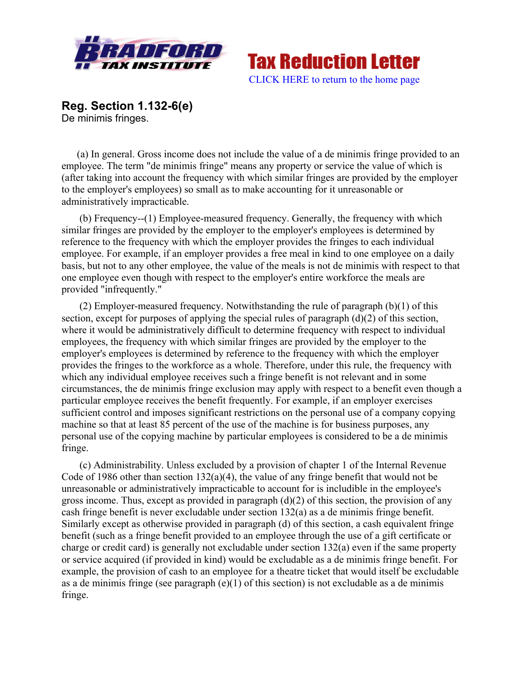



**Reg. Section 1.132-6(e)** De minimis fringes.

(a) In general. Gross income does not include the value of a de minimis fringe provided to an employee. The term "de minimis fringe" means any property or service the value of which is (after taking into account the frequency with which similar fringes are provided by the employer to the employer's employees) so small as to make accounting for it unreasonable or administratively impracticable.

 (b) Frequency--(1) Employee-measured frequency. Generally, the frequency with which similar fringes are provided by the employer to the employer's employees is determined by reference to the frequency with which the employer provides the fringes to each individual employee. For example, if an employer provides a free meal in kind to one employee on a daily basis, but not to any other employee, the value of the meals is not de minimis with respect to that one employee even though with respect to the employer's entire workforce the meals are provided "infrequently."

 (2) Employer-measured frequency. Notwithstanding the rule of paragraph (b)(1) of this section, except for purposes of applying the special rules of paragraph (d)(2) of this section, where it would be administratively difficult to determine frequency with respect to individual employees, the frequency with which similar fringes are provided by the employer to the employer's employees is determined by reference to the frequency with which the employer provides the fringes to the workforce as a whole. Therefore, under this rule, the frequency with which any individual employee receives such a fringe benefit is not relevant and in some circumstances, the de minimis fringe exclusion may apply with respect to a benefit even though a particular employee receives the benefit frequently. For example, if an employer exercises sufficient control and imposes significant restrictions on the personal use of a company copying machine so that at least 85 percent of the use of the machine is for business purposes, any personal use of the copying machine by particular employees is considered to be a de minimis fringe.

 (c) Administrability. Unless excluded by a provision of chapter 1 of the Internal Revenue Code of 1986 other than section 132(a)(4), the value of any fringe benefit that would not be unreasonable or administratively impracticable to account for is includible in the employee's gross income. Thus, except as provided in paragraph  $(d)(2)$  of this section, the provision of any cash fringe benefit is never excludable under section 132(a) as a de minimis fringe benefit. Similarly except as otherwise provided in paragraph (d) of this section, a cash equivalent fringe benefit (such as a fringe benefit provided to an employee through the use of a gift certificate or charge or credit card) is generally not excludable under section 132(a) even if the same property or service acquired (if provided in kind) would be excludable as a de minimis fringe benefit. For example, the provision of cash to an employee for a theatre ticket that would itself be excludable as a de minimis fringe (see paragraph  $(e)(1)$  of this section) is not excludable as a de minimis fringe.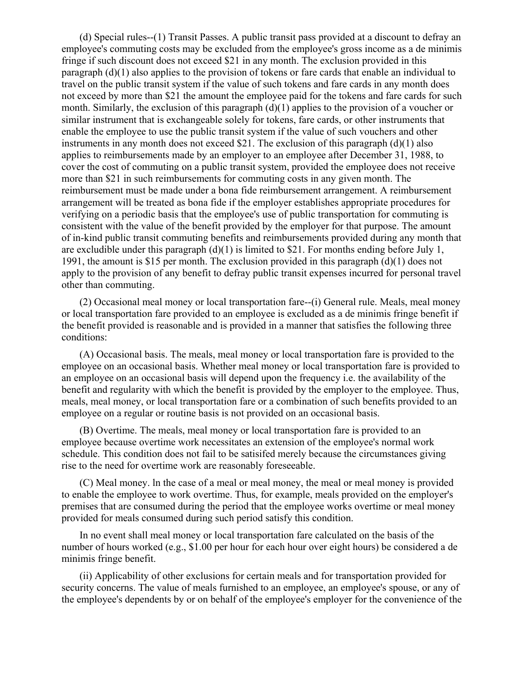(d) Special rules--(1) Transit Passes. A public transit pass provided at a discount to defray an employee's commuting costs may be excluded from the employee's gross income as a de minimis fringe if such discount does not exceed \$21 in any month. The exclusion provided in this paragraph (d)(1) also applies to the provision of tokens or fare cards that enable an individual to travel on the public transit system if the value of such tokens and fare cards in any month does not exceed by more than \$21 the amount the employee paid for the tokens and fare cards for such month. Similarly, the exclusion of this paragraph (d)(1) applies to the provision of a voucher or similar instrument that is exchangeable solely for tokens, fare cards, or other instruments that enable the employee to use the public transit system if the value of such vouchers and other instruments in any month does not exceed  $$21$ . The exclusion of this paragraph (d)(1) also applies to reimbursements made by an employer to an employee after December 31, 1988, to cover the cost of commuting on a public transit system, provided the employee does not receive more than \$21 in such reimbursements for commuting costs in any given month. The reimbursement must be made under a bona fide reimbursement arrangement. A reimbursement arrangement will be treated as bona fide if the employer establishes appropriate procedures for verifying on a periodic basis that the employee's use of public transportation for commuting is consistent with the value of the benefit provided by the employer for that purpose. The amount of in-kind public transit commuting benefits and reimbursements provided during any month that are excludible under this paragraph  $(d)(1)$  is limited to \$21. For months ending before July 1, 1991, the amount is \$15 per month. The exclusion provided in this paragraph (d)(1) does not apply to the provision of any benefit to defray public transit expenses incurred for personal travel other than commuting.

 (2) Occasional meal money or local transportation fare--(i) General rule. Meals, meal money or local transportation fare provided to an employee is excluded as a de minimis fringe benefit if the benefit provided is reasonable and is provided in a manner that satisfies the following three conditions:

 (A) Occasional basis. The meals, meal money or local transportation fare is provided to the employee on an occasional basis. Whether meal money or local transportation fare is provided to an employee on an occasional basis will depend upon the frequency i.e. the availability of the benefit and regularity with which the benefit is provided by the employer to the employee. Thus, meals, meal money, or local transportation fare or a combination of such benefits provided to an employee on a regular or routine basis is not provided on an occasional basis.

 (B) Overtime. The meals, meal money or local transportation fare is provided to an employee because overtime work necessitates an extension of the employee's normal work schedule. This condition does not fail to be satisifed merely because the circumstances giving rise to the need for overtime work are reasonably foreseeable.

 (C) Meal money. ln the case of a meal or meal money, the meal or meal money is provided to enable the employee to work overtime. Thus, for example, meals provided on the employer's premises that are consumed during the period that the employee works overtime or meal money provided for meals consumed during such period satisfy this condition.

 In no event shall meal money or local transportation fare calculated on the basis of the number of hours worked (e.g., \$1.00 per hour for each hour over eight hours) be considered a de minimis fringe benefit.

 (ii) Applicability of other exclusions for certain meals and for transportation provided for security concerns. The value of meals furnished to an employee, an employee's spouse, or any of the employee's dependents by or on behalf of the employee's employer for the convenience of the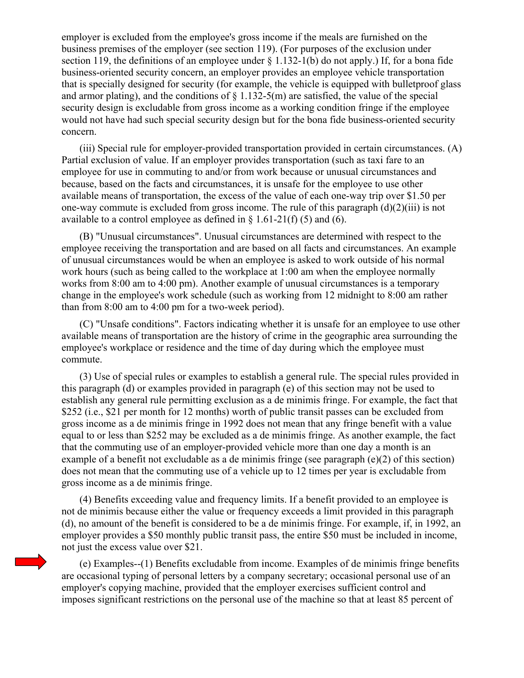employer is excluded from the employee's gross income if the meals are furnished on the business premises of the employer (see section 119). (For purposes of the exclusion under section 119, the definitions of an employee under  $\S 1.132-1(b)$  do not apply.) If, for a bona fide business-oriented security concern, an employer provides an employee vehicle transportation that is specially designed for security (for example, the vehicle is equipped with bulletproof glass and armor plating), and the conditions of  $\S$  1.132-5(m) are satisfied, the value of the special security design is excludable from gross income as a working condition fringe if the employee would not have had such special security design but for the bona fide business-oriented security concern.

 (iii) Special rule for employer-provided transportation provided in certain circumstances. (A) Partial exclusion of value. If an employer provides transportation (such as taxi fare to an employee for use in commuting to and/or from work because or unusual circumstances and because, based on the facts and circumstances, it is unsafe for the employee to use other available means of transportation, the excess of the value of each one-way trip over \$1.50 per one-way commute is excluded from gross income. The rule of this paragraph (d)(2)(iii) is not available to a control employee as defined in  $\S$  1.61-21(f) (5) and (6).

 (B) "Unusual circumstances". Unusual circumstances are determined with respect to the employee receiving the transportation and are based on all facts and circumstances. An example of unusual circumstances would be when an employee is asked to work outside of his normal work hours (such as being called to the workplace at 1:00 am when the employee normally works from 8:00 am to 4:00 pm). Another example of unusual circumstances is a temporary change in the employee's work schedule (such as working from 12 midnight to 8:00 am rather than from 8:00 am to 4:00 pm for a two-week period).

 (C) "Unsafe conditions". Factors indicating whether it is unsafe for an employee to use other available means of transportation are the history of crime in the geographic area surrounding the employee's workplace or residence and the time of day during which the employee must commute.

 (3) Use of special rules or examples to establish a general rule. The special rules provided in this paragraph (d) or examples provided in paragraph (e) of this section may not be used to establish any general rule permitting exclusion as a de minimis fringe. For example, the fact that \$252 (i.e., \$21 per month for 12 months) worth of public transit passes can be excluded from gross income as a de minimis fringe in 1992 does not mean that any fringe benefit with a value equal to or less than \$252 may be excluded as a de minimis fringe. As another example, the fact that the commuting use of an employer-provided vehicle more than one day a month is an example of a benefit not excludable as a de minimis fringe (see paragraph (e)(2) of this section) does not mean that the commuting use of a vehicle up to 12 times per year is excludable from gross income as a de minimis fringe.

 (4) Benefits exceeding value and frequency limits. If a benefit provided to an employee is not de minimis because either the value or frequency exceeds a limit provided in this paragraph (d), no amount of the benefit is considered to be a de minimis fringe. For example, if, in 1992, an employer provides a \$50 monthly public transit pass, the entire \$50 must be included in income, not just the excess value over \$21.

 (e) Examples--(1) Benefits excludable from income. Examples of de minimis fringe benefits are occasional typing of personal letters by a company secretary; occasional personal use of an employer's copying machine, provided that the employer exercises sufficient control and imposes significant restrictions on the personal use of the machine so that at least 85 percent of